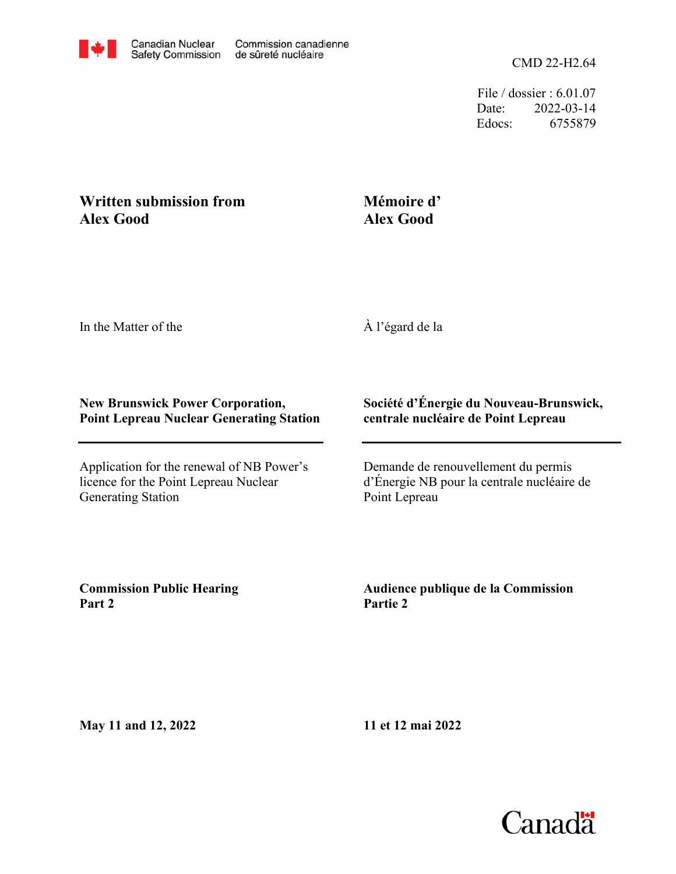

File / dossier : 6.01.07 Date: 2022-03-14 Edocs: 6755879

## **Written submission from Alex Good**

## **Mémoire d' Alex Good**

In the Matter of the

À l'égard de la

## **New Brunswick Power Corporation, Point Lepreau Nuclear Generating Station**

Application for the renewal of NB Power's licence for the Point Lepreau Nuclear Generating Station

## **Société d'Énergie du Nouveau-Brunswick, centrale nucléaire de Point Lepreau**

Demande de renouvellement du permis d'Énergie NB pour la centrale nucléaire de Point Lepreau

**Commission Public Hearing Part 2**

**Audience publique de la Commission Partie 2**

**May 11 and 12, 2022**

**11 et 12 mai 2022**